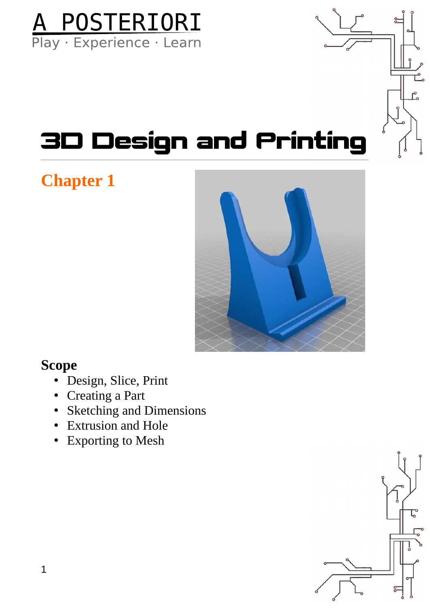

### 3D Design and Printing

#### **Chapter 1**



#### **Scope**

- Design, Slice, Print
- Creating a Part
- Sketching and Dimensions
- Extrusion and Hole
- Exporting to Mesh

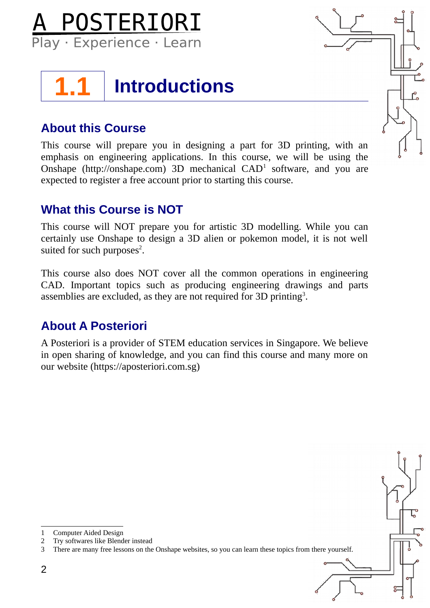



#### **About this Course**

This course will prepare you in designing a part for 3D printing, with an emphasis on engineering applications. In this course, we will be using the Onshape (http://onshape.com) 3D mechanical  $CAD<sup>1</sup>$  $CAD<sup>1</sup>$  $CAD<sup>1</sup>$  software, and you are expected to register a free account prior to starting this course.

#### **What this Course is NOT**

This course will NOT prepare you for artistic 3D modelling. While you can certainly use Onshape to design a 3D alien or pokemon model, it is not well suited for such purposes<sup>[2](#page-1-1)</sup>.

This course also does NOT cover all the common operations in engineering CAD. Important topics such as producing engineering drawings and parts assemblies are excluded, as they are not required for [3](#page-1-2)D printing<sup>3</sup>.

#### **About A Posteriori**

A Posteriori is a provider of STEM education services in Singapore. We believe in open sharing of knowledge, and you can find this course and many more on our website (https://aposteriori.com.sg)

<span id="page-1-2"></span><span id="page-1-1"></span><span id="page-1-0"></span>1 Computer Aided Design 2 Try softwares like Blender instead 3 There are many free lessons on the Onshape websites, so you can learn these topics from there yourself.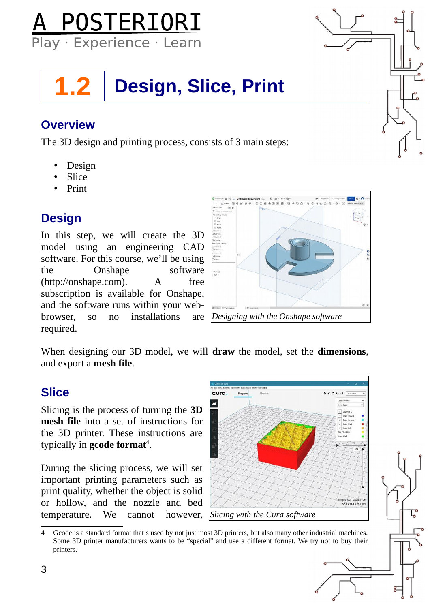

### **1.2 Design, Slice, Print**

#### **Overview**

The 3D design and printing process, consists of 3 main steps:

- Design
- Slice
- Print

#### **Design**

In this step, we will create the 3D model using an engineering CAD software. For this course, we'll be using the Onshape software (http://onshape.com). A free subscription is available for Onshape, and the software runs within your webbrowser, so no installations are required.



When designing our 3D model, we will **draw** the model, set the **dimensions**, and export a **mesh file**.

#### **Slice**

Slicing is the process of turning the **3D mesh file** into a set of instructions for the 3D printer. These instructions are typically in **gcode format**<sup>[4](#page-2-0)</sup>.

During the slicing process, we will set important printing parameters such as print quality, whether the object is solid or hollow, and the nozzle and bed temperature. We cannot however,



<span id="page-2-0"></span><sup>4</sup> Gcode is a standard format that's used by not just most 3D printers, but also many other industrial machines. Some 3D printer manufacturers wants to be "special" and use a different format. We try not to buy their printers.

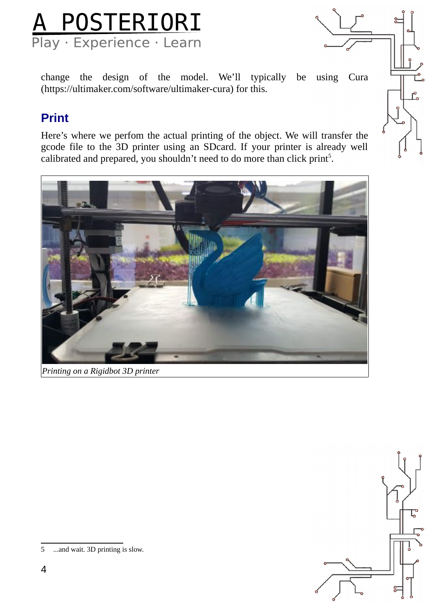

change the design of the model. We'll typically be using Cura (https://ultimaker.com/software/ultimaker-cura) for this.

#### **Print**

Here's where we perfom the actual printing of the object. We will transfer the gcode file to the 3D printer using an SDcard. If your printer is already well calibrated and prepared, you shouldn't need to do more than click print<sup>[5](#page-3-0)</sup>.



*Printing on a Rigidbot 3D printer*



<span id="page-3-0"></span><sup>5</sup> ...and wait. 3D printing is slow.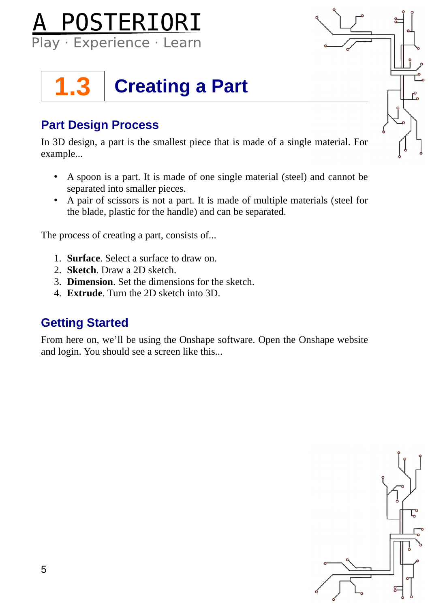

### **1.3 Creating a Part**

#### **Part Design Process**

In 3D design, a part is the smallest piece that is made of a single material. For example...

- A spoon is a part. It is made of one single material (steel) and cannot be separated into smaller pieces.
- A pair of scissors is not a part. It is made of multiple materials (steel for the blade, plastic for the handle) and can be separated.

The process of creating a part, consists of...

- 1. **Surface**. Select a surface to draw on.
- 2. **Sketch**. Draw a 2D sketch.
- 3. **Dimension**. Set the dimensions for the sketch.
- 4. **Extrude**. Turn the 2D sketch into 3D.

#### **Getting Started**

From here on, we'll be using the Onshape software. Open the Onshape website and login. You should see a screen like this...

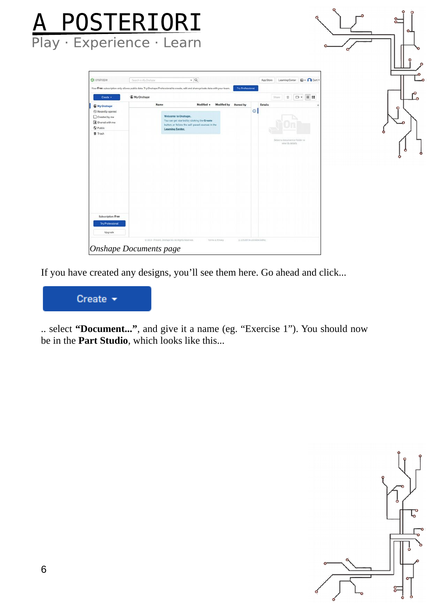

If you have created any designs, you'll see them here. Go ahead and click...



.. select **"Document..."**, and give it a name (eg. "Exercise 1"). You should now be in the **Part Studio**, which looks like this...

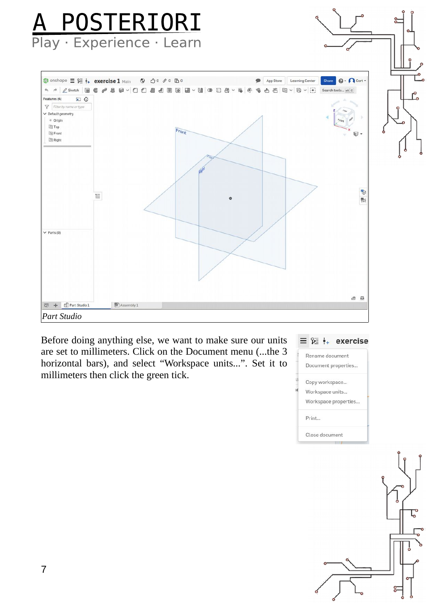# A POSTERIORI



Before doing anything else, we want to make sure our units are set to millimeters. Click on the Document menu (...the 3 horizontal bars), and select "Workspace units...". Set it to millimeters then click the green tick.



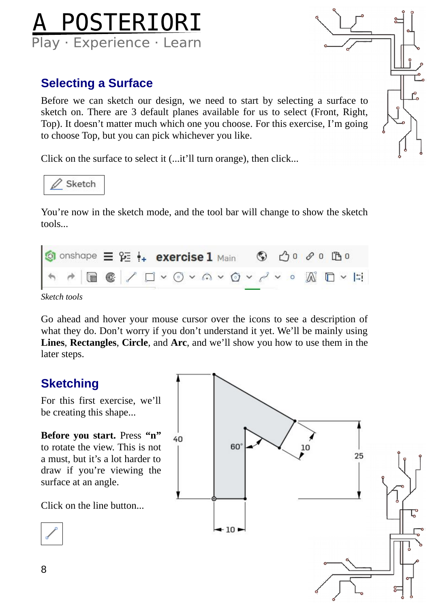

#### **Selecting a Surface**

Before we can sketch our design, we need to start by selecting a surface to sketch on. There are 3 default planes available for us to select (Front, Right, Top). It doesn't matter much which one you choose. For this exercise, I'm going to choose Top, but you can pick whichever you like.

Click on the surface to select it (...it'll turn orange), then click...



You're now in the sketch mode, and the tool bar will change to show the sketch tools...



*Sketch tools*

Go ahead and hover your mouse cursor over the icons to see a description of what they do. Don't worry if you don't understand it yet. We'll be mainly using **Lines**, **Rectangles**, **Circle**, and **Arc**, and we'll show you how to use them in the later steps.

#### **Sketching**

For this first exercise, we'll be creating this shape...

**Before you start.** Press **"n"** to rotate the view. This is not a must, but it's a lot harder to draw if you're viewing the surface at an angle.

Click on the line button...



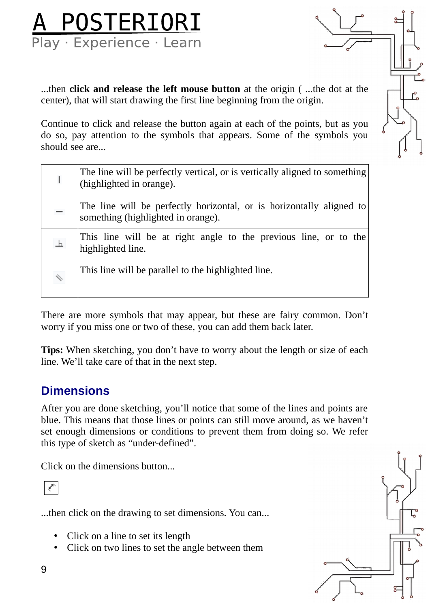

...then **click and release the left mouse button** at the origin ( ...the dot at the center), that will start drawing the first line beginning from the origin.

Continue to click and release the button again at each of the points, but as you do so, pay attention to the symbols that appears. Some of the symbols you should see are...

|                              | The line will be perfectly vertical, or is vertically aligned to something<br>(highlighted in orange).     |
|------------------------------|------------------------------------------------------------------------------------------------------------|
| —                            | The line will be perfectly horizontal, or is horizontally aligned to<br>something (highlighted in orange). |
| 上                            | This line will be at right angle to the previous line, or to the<br>highlighted line.                      |
| $\overline{\!\!\mathscr{L}}$ | This line will be parallel to the highlighted line.                                                        |

There are more symbols that may appear, but these are fairy common. Don't worry if you miss one or two of these, you can add them back later.

**Tips:** When sketching, you don't have to worry about the length or size of each line. We'll take care of that in the next step.

#### **Dimensions**

After you are done sketching, you'll notice that some of the lines and points are blue. This means that those lines or points can still move around, as we haven't set enough dimensions or conditions to prevent them from doing so. We refer this type of sketch as "under-defined".

Click on the dimensions button...



...then click on the drawing to set dimensions. You can...

- Click on a line to set its length
- Click on two lines to set the angle between them

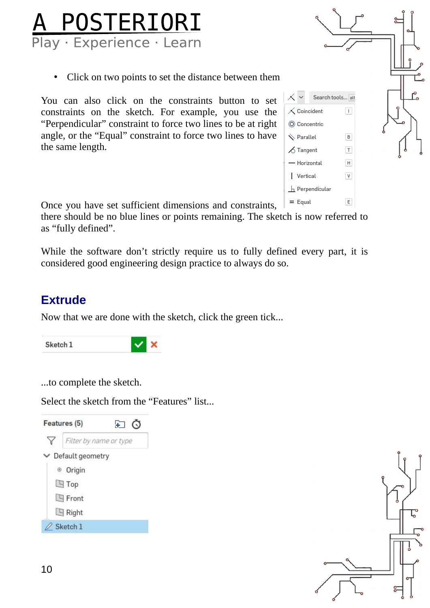## **A POSTERIORI**<br>Play · Experience · Learn

Click on two points to set the distance between them

You can also click on the constraints button to set constraints on the sketch. For example, you use the "Perpendicular" constraint to force two lines to be at right angle, or the "Equal" constraint to force two lines to have the same length.



Once you have set sufficient dimensions and constraints,

there should be no blue lines or points remaining. The sketch is now referred to as "fully defined".

While the software don't strictly require us to fully defined every part, it is considered good engineering design practice to always do so.

#### **Extrude**

Now that we are done with the sketch, click the green tick...



...to complete the sketch.

Select the sketch from the "Features" list...



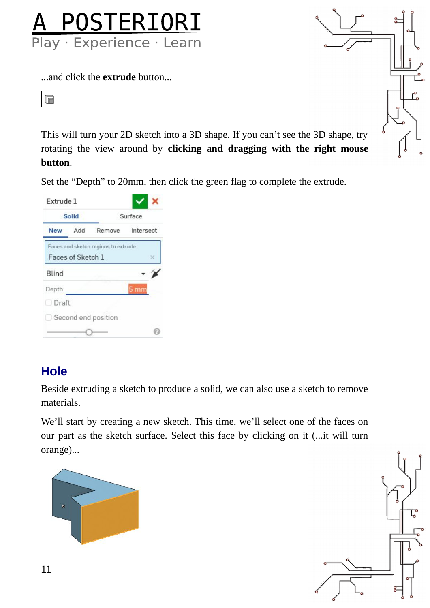

...and click the **extrude** button...



This will turn your 2D sketch into a 3D shape. If you can't see the 3D shape, try rotating the view around by **clicking and dragging with the right mouse button**.

Set the "Depth" to 20mm, then click the green flag to complete the extrude.

| Extrude 1  |                   |                                     |                  |  |
|------------|-------------------|-------------------------------------|------------------|--|
|            | Solid             | Surface                             |                  |  |
| <b>New</b> | Add               |                                     | Remove Intersect |  |
|            |                   | Faces and sketch regions to extrude |                  |  |
|            | Faces of Sketch 1 |                                     | ×                |  |
| Blind      |                   |                                     |                  |  |
| Depth.     |                   |                                     | 5 mm             |  |
| Draft      |                   |                                     |                  |  |
|            |                   |                                     |                  |  |
|            |                   | Second end position                 |                  |  |

#### **Hole**

Beside extruding a sketch to produce a solid, we can also use a sketch to remove materials.

We'll start by creating a new sketch. This time, we'll select one of the faces on our part as the sketch surface. Select this face by clicking on it (...it will turn orange)...





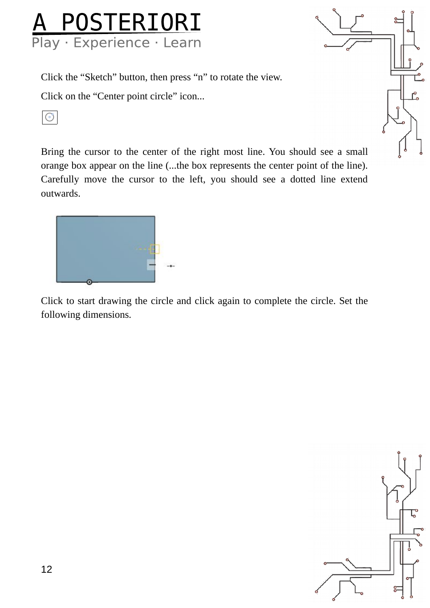## A POSTERIORI<br>Play Experience Learn

Click the "Sketch" button, then press "n" to rotate the view.

Click on the "Center point circle" icon...

 $\odot$ 

Bring the cursor to the center of the right most line. You should see a small orange box appear on the line (...the box represents the center point of the line). Carefully move the cursor to the left, you should see a dotted line extend outwards.



Click to start drawing the circle and click again to complete the circle. Set the following dimensions.

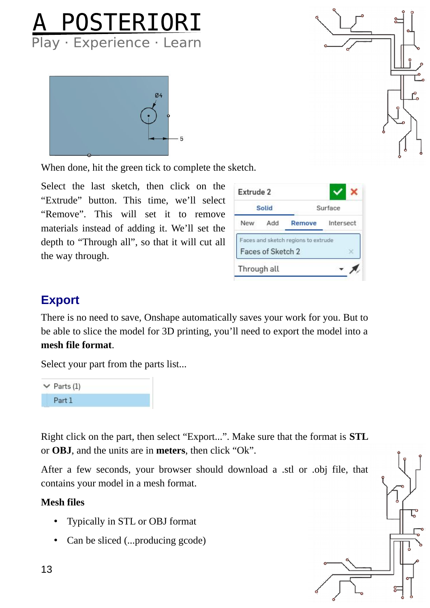





When done, hit the green tick to complete the sketch.

Select the last sketch, then click on the "Extrude" button. This time, we'll select "Remove". This will set it to remove materials instead of adding it. We'll set the depth to "Through all", so that it will cut all the way through.

| Extrude 2   |                   |                                     |                  |  |
|-------------|-------------------|-------------------------------------|------------------|--|
|             | Solid             | Surface                             |                  |  |
| New         | Add               |                                     | Remove Intersect |  |
|             | Faces of Sketch 2 | Faces and sketch regions to extrude |                  |  |
| Through all |                   |                                     |                  |  |

#### **Export**

There is no need to save, Onshape automatically saves your work for you. But to be able to slice the model for 3D printing, you'll need to export the model into a **mesh file format**.

Select your part from the parts list...



Right click on the part, then select "Export...". Make sure that the format is **STL** or **OBJ**, and the units are in **meters**, then click "Ok".

After a few seconds, your browser should download a .stl or .obj file, that contains your model in a mesh format.

#### **Mesh files**

- Typically in STL or OBJ format
- Can be sliced (...producing gcode)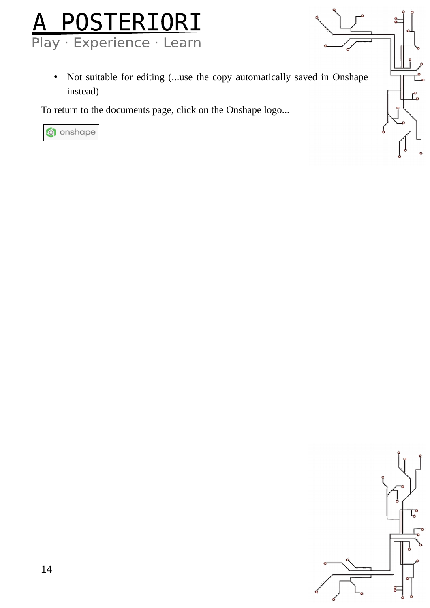

• Not suitable for editing (...use the copy automatically saved in Onshape instead)

To return to the documents page, click on the Onshape logo...



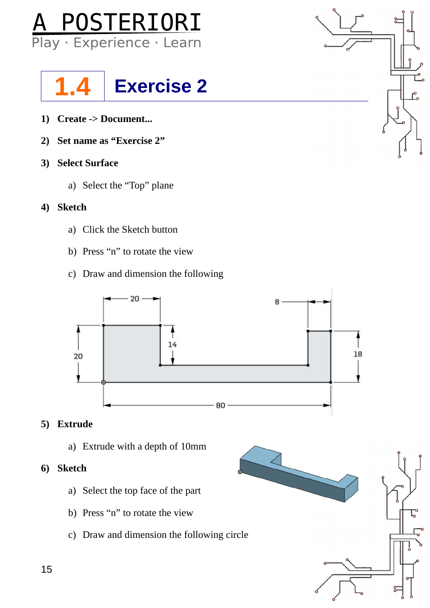



- **1) Create -> Document...**
- **2) Set name as "Exercise 2"**
- **3) Select Surface**
	- a) Select the "Top" plane
- **4) Sketch**
	- a) Click the Sketch button
	- b) Press "n" to rotate the view
	- c) Draw and dimension the following



#### **5) Extrude**

a) Extrude with a depth of 10mm

#### **6) Sketch**

- a) Select the top face of the part
- b) Press "n" to rotate the view
- c) Draw and dimension the following circle

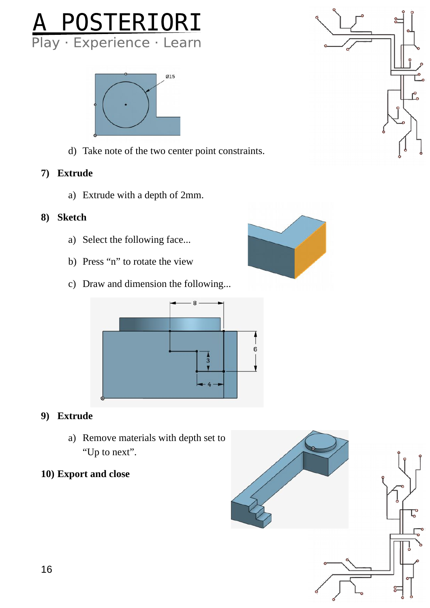



d) Take note of the two center point constraints.

#### **7) Extrude**

a) Extrude with a depth of 2mm.

#### **8) Sketch**

- a) Select the following face...
- b) Press "n" to rotate the view
- c) Draw and dimension the following...





#### **9) Extrude**

a) Remove materials with depth set to "Up to next".

#### **10) Export and close**